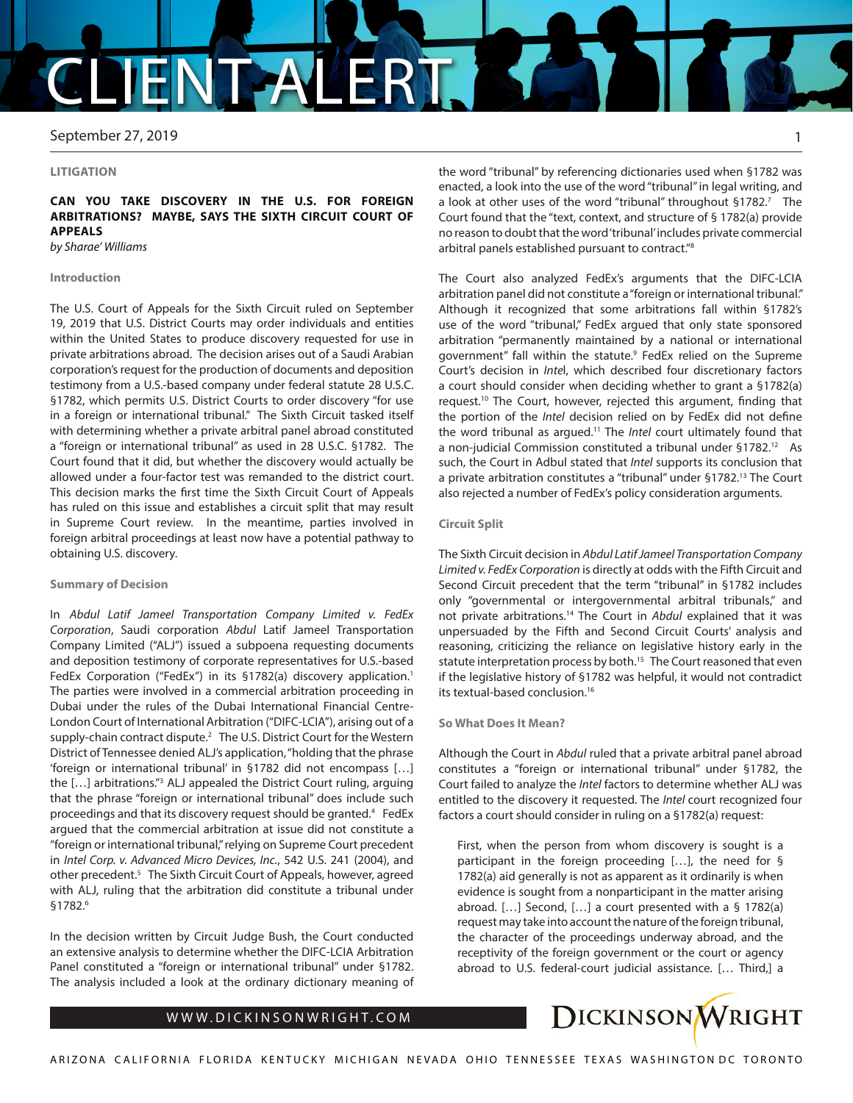# CLIENT ALERT

September 27, 2019

#### **LITIGATION**

# **CAN YOU TAKE DISCOVERY IN THE U.S. FOR FOREIGN ARBITRATIONS? MAYBE, SAYS THE SIXTH CIRCUIT COURT OF APPEALS**

*by Sharae' Williams*

#### **Introduction**

The U.S. Court of Appeals for the Sixth Circuit ruled on September 19, 2019 that U.S. District Courts may order individuals and entities within the United States to produce discovery requested for use in private arbitrations abroad. The decision arises out of a Saudi Arabian corporation's request for the production of documents and deposition testimony from a U.S.-based company under federal statute 28 U.S.C. §1782, which permits U.S. District Courts to order discovery "for use in a foreign or international tribunal." The Sixth Circuit tasked itself with determining whether a private arbitral panel abroad constituted a "foreign or international tribunal" as used in 28 U.S.C. §1782. The Court found that it did, but whether the discovery would actually be allowed under a four-factor test was remanded to the district court. This decision marks the first time the Sixth Circuit Court of Appeals has ruled on this issue and establishes a circuit split that may result in Supreme Court review. In the meantime, parties involved in foreign arbitral proceedings at least now have a potential pathway to obtaining U.S. discovery.

#### **Summary of Decision**

In *Abdul Latif Jameel Transportation Company Limited v. FedEx Corporation*, Saudi corporation *Abdul* Latif Jameel Transportation Company Limited ("ALJ") issued a subpoena requesting documents and deposition testimony of corporate representatives for U.S.-based FedEx Corporation ("FedEx") in its §1782(a) discovery application.<sup>1</sup> The parties were involved in a commercial arbitration proceeding in Dubai under the rules of the Dubai International Financial Centre-London Court of International Arbitration ("DIFC-LCIA"), arising out of a supply-chain contract dispute.<sup>2</sup> The U.S. District Court for the Western District of Tennessee denied ALJ's application, "holding that the phrase 'foreign or international tribunal' in §1782 did not encompass […] the [...] arbitrations."<sup>3</sup> ALJ appealed the District Court ruling, arguing that the phrase "foreign or international tribunal" does include such proceedings and that its discovery request should be granted.4 FedEx argued that the commercial arbitration at issue did not constitute a "foreign or international tribunal," relying on Supreme Court precedent in *Intel Corp. v. Advanced Micro Devices, Inc.*, 542 U.S. 241 (2004), and other precedent.<sup>5</sup> The Sixth Circuit Court of Appeals, however, agreed with ALJ, ruling that the arbitration did constitute a tribunal under §1782.6

In the decision written by Circuit Judge Bush, the Court conducted an extensive analysis to determine whether the DIFC-LCIA Arbitration Panel constituted a "foreign or international tribunal" under §1782. The analysis included a look at the ordinary dictionary meaning of the word "tribunal" by referencing dictionaries used when §1782 was enacted, a look into the use of the word "tribunal" in legal writing, and a look at other uses of the word "tribunal" throughout §1782.7 The Court found that the "text, context, and structure of § 1782(a) provide no reason to doubt that the word 'tribunal' includes private commercial arbitral panels established pursuant to contract."8

The Court also analyzed FedEx's arguments that the DIFC-LCIA arbitration panel did not constitute a "foreign or international tribunal." Although it recognized that some arbitrations fall within §1782's use of the word "tribunal," FedEx argued that only state sponsored arbitration "permanently maintained by a national or international government" fall within the statute.<sup>9</sup> FedEx relied on the Supreme Court's decision in *Inte*l, which described four discretionary factors a court should consider when deciding whether to grant a §1782(a) request.10 The Court, however, rejected this argument, finding that the portion of the *Intel* decision relied on by FedEx did not define the word tribunal as argued.11 The *Intel* court ultimately found that a non-judicial Commission constituted a tribunal under §1782.12 As such, the Court in Adbul stated that *Intel* supports its conclusion that a private arbitration constitutes a "tribunal" under §1782.13 The Court also rejected a number of FedEx's policy consideration arguments.

### **Circuit Split**

The Sixth Circuit decision in *Abdul Latif Jameel Transportation Company Limited v. FedEx Corporation* is directly at odds with the Fifth Circuit and Second Circuit precedent that the term "tribunal" in §1782 includes only "governmental or intergovernmental arbitral tribunals," and not private arbitrations.14 The Court in *Abdul* explained that it was unpersuaded by the Fifth and Second Circuit Courts' analysis and reasoning, criticizing the reliance on legislative history early in the statute interpretation process by both.<sup>15</sup> The Court reasoned that even if the legislative history of §1782 was helpful, it would not contradict its textual-based conclusion.16

#### **So What Does It Mean?**

Although the Court in *Abdul* ruled that a private arbitral panel abroad constitutes a "foreign or international tribunal" under §1782, the Court failed to analyze the *Intel* factors to determine whether ALJ was entitled to the discovery it requested. The *Intel* court recognized four factors a court should consider in ruling on a §1782(a) request:

First, when the person from whom discovery is sought is a participant in the foreign proceeding […], the need for § 1782(a) aid generally is not as apparent as it ordinarily is when evidence is sought from a nonparticipant in the matter arising abroad. […] Second, […] a court presented with a § 1782(a) request may take into account the nature of the foreign tribunal, the character of the proceedings underway abroad, and the receptivity of the foreign government or the court or agency abroad to U.S. federal-court judicial assistance. [… Third,] a



1

## WWW.DICKINSONWRIGHT.COM